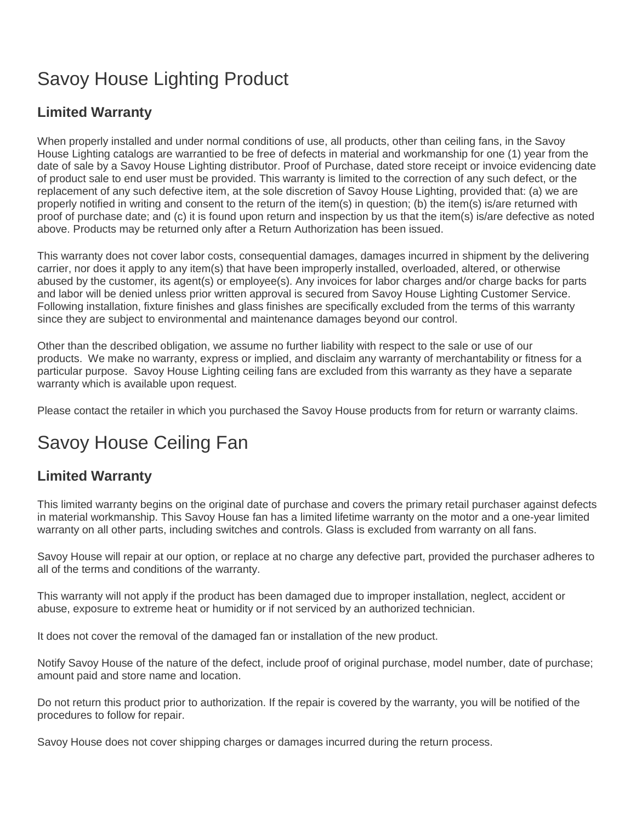## Savoy House Lighting Product

## **Limited Warranty**

When properly installed and under normal conditions of use, all products, other than ceiling fans, in the Savoy House Lighting catalogs are warrantied to be free of defects in material and workmanship for one (1) year from the date of sale by a Savoy House Lighting distributor. Proof of Purchase, dated store receipt or invoice evidencing date of product sale to end user must be provided. This warranty is limited to the correction of any such defect, or the replacement of any such defective item, at the sole discretion of Savoy House Lighting, provided that: (a) we are properly notified in writing and consent to the return of the item(s) in question; (b) the item(s) is/are returned with proof of purchase date; and (c) it is found upon return and inspection by us that the item(s) is/are defective as noted above. Products may be returned only after a Return Authorization has been issued.

This warranty does not cover labor costs, consequential damages, damages incurred in shipment by the delivering carrier, nor does it apply to any item(s) that have been improperly installed, overloaded, altered, or otherwise abused by the customer, its agent(s) or employee(s). Any invoices for labor charges and/or charge backs for parts and labor will be denied unless prior written approval is secured from Savoy House Lighting Customer Service. Following installation, fixture finishes and glass finishes are specifically excluded from the terms of this warranty since they are subject to environmental and maintenance damages beyond our control.

Other than the described obligation, we assume no further liability with respect to the sale or use of our products. We make no warranty, express or implied, and disclaim any warranty of merchantability or fitness for a particular purpose. Savoy House Lighting ceiling fans are excluded from this warranty as they have a separate warranty which is available upon request.

Please contact the retailer in which you purchased the Savoy House products from for return or warranty claims.

## Savoy House Ceiling Fan

## **Limited Warranty**

This limited warranty begins on the original date of purchase and covers the primary retail purchaser against defects in material workmanship. This Savoy House fan has a limited lifetime warranty on the motor and a one-year limited warranty on all other parts, including switches and controls. Glass is excluded from warranty on all fans.

Savoy House will repair at our option, or replace at no charge any defective part, provided the purchaser adheres to all of the terms and conditions of the warranty.

This warranty will not apply if the product has been damaged due to improper installation, neglect, accident or abuse, exposure to extreme heat or humidity or if not serviced by an authorized technician.

It does not cover the removal of the damaged fan or installation of the new product.

Notify Savoy House of the nature of the defect, include proof of original purchase, model number, date of purchase; amount paid and store name and location.

Do not return this product prior to authorization. If the repair is covered by the warranty, you will be notified of the procedures to follow for repair.

Savoy House does not cover shipping charges or damages incurred during the return process.